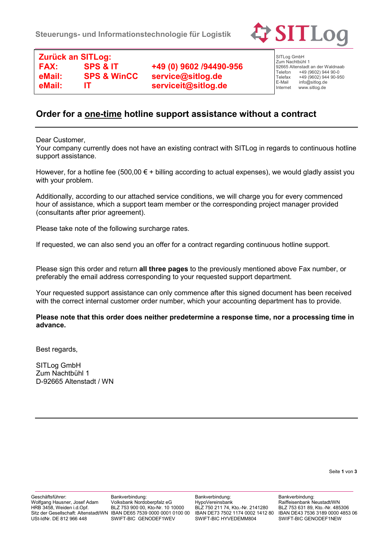

**Zurück an SITLog: FAX: SPS & IT +49 (0) 9602 /94490-956 eMail: SPS & WinCC service@sitlog.de eMail: IT serviceit@sitlog.de**

SITLog GmbH Zum Nachtbühl 1 92665 Altenstadt an der Waldnaab<br>Telefon +49 (9602) 944 90-0 Telefon +49 (9602) 944 90-0<br>Telefax +49 (9602) 944 90-9 Telefax  $+49(9602)94490-950$ <br>F-Mail info@sitlog de E-Mail info@sitlog.de<br>Internet www.sitlog.de www.sitlog.de

## **Order for a one-time hotline support assistance without a contract**

Dear Customer,

Your company currently does not have an existing contract with SITLog in regards to continuous hotline support assistance.

However, for a hotline fee (500,00  $\epsilon$  + billing according to actual expenses), we would gladly assist you with your problem.

Additionally, according to our attached service conditions, we will charge you for every commenced hour of assistance, which a support team member or the corresponding project manager provided (consultants after prior agreement).

Please take note of the following surcharge rates.

If requested, we can also send you an offer for a contract regarding continuous hotline support.

Please sign this order and return **all three pages** to the previously mentioned above Fax number, or preferably the email address corresponding to your requested support department.

Your requested support assistance can only commence after this signed document has been received with the correct internal customer order number, which your accounting department has to provide.

**Please note that this order does neither predetermine a response time, nor a processing time in advance.**

Best regards,

SITLog GmbH Zum Nachtbühl 1 D-92665 Altenstadt / WN

Seite **1** von **3**

Geschäftsführer: Wolfgang Hausner, Josef Adam HRB 3458, Weiden i.d.Opf. USt-IdNr. DE 812 966 448

Bankverbindung: Volksbank Nordoberpfalz eG BLZ 753 900 00, Kto-Nr. 10 10000 Sitz der Gesellschaft: Altenstadt/WN IBAN DE65 7539 0000 0001 0100 00 SWIFT-BIC GENODEF1WEV

Bankverbindung: HypoVereinsbank BLZ 750 211 74, Kto.-Nr. 2141280 IBAN DE73 7502 1174 0002 1412 80 SWIFT-BIC HYVEDEMM804

Bankverbindung: Raiffeisenbank Neustadt/WN BLZ 753 631 89, Kto.-Nr. 485306 IBAN DE43 7536 3189 0000 4853 06 SWIFT-BIC GENODEF1NEW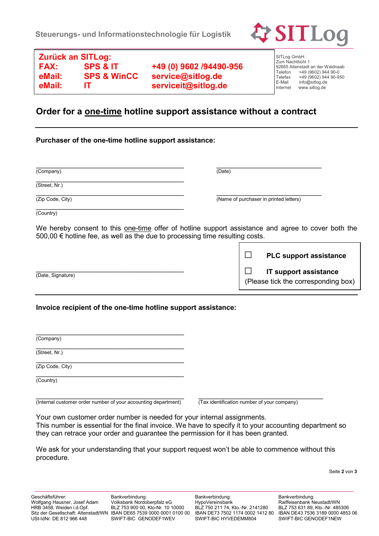

**Zurück an SITLog: FAX: SPS & IT +49 (0) 9602 /94490-956 eMail: SPS & WinCC service@sitlog.de eMail: IT serviceit@sitlog.de**

SITLog GmbH Zum Nachtbühl 1 92665 Altenstadt an der Waldnaab<br>Telefon +49 (9602) 944 90-0 Telefon +49 (9602) 944 90-0<br>Telefax +49 (9602) 944 90-9 Telefax +49 (9602) 944 90-950<br>E-Mail info@sitlog.de E-Mail info@sitlog.de<br>Internet www.sitlog.de www.sitlog.de

## **Order for a one-time hotline support assistance without a contract**

## **Purchaser of the one-time hotline support assistance:**

| (Company)        | (Date)                                 |
|------------------|----------------------------------------|
| (Street, Nr.)    |                                        |
| (Zip Code, City) | (Name of purchaser in printed letters) |

(Country)

We hereby consent to this one-time offer of hotline support assistance and agree to cover both the 500,00 € hotline fee, as well as the due to processing time resulting costs.

|                   | <b>PLC support assistance</b>                                       |
|-------------------|---------------------------------------------------------------------|
| (Date, Signature) | <b>IT support assistance</b><br>(Please tick the corresponding box) |

## **Invoice recipient of the one-time hotline support assistance:**

| $\overline{\text{(Company)}}$ |
|-------------------------------|
| (Street, Nr.)                 |
| (Zip Code, City)              |
| (Country)                     |
|                               |

(Internal customer order number of your accounting department) (Tax identification number of your company)

ſ

Your own customer order number is needed for your internal assignments. This number is essential for the final invoice. We have to specify it to your accounting department so they can retrace your order and guarantee the permission for it has been granted.

We ask for your understanding that your support request won't be able to commence without this procedure.

Seite **2** von **3**

Bankverbindung: Volksbank Nordoberpfalz eG BLZ 753 900 00, Kto-Nr. 10 10000 SWIFT-BIC GENODEF1WEV

Bankverbindung: HypoVereinsbank BLZ 750 211 74, Kto.-Nr. 2141280 IBAN DE73 7502 1174 0002 1412 80 SWIFT-BIC HYVEDEMM804

Bankverbindung: Raiffeisenbank Neustadt/WN BLZ 753 631 89, Kto.-Nr. 485306 IBAN DE43 7536 3189 0000 4853 06 SWIFT-BIC GENODEF1NEW